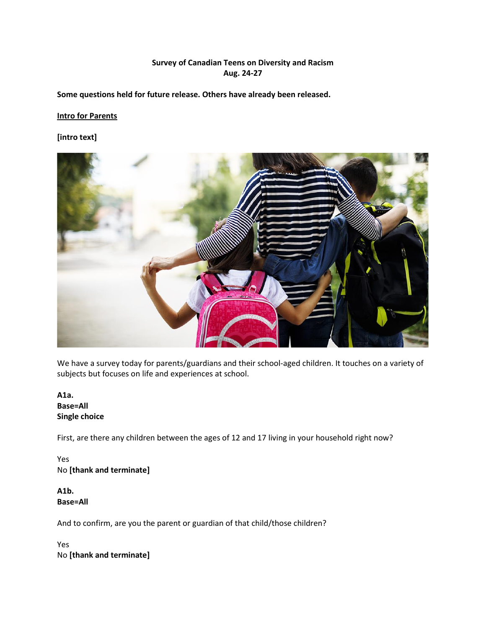## **Survey of Canadian Teens on Diversity and Racism Aug. 24-27**

**Some questions held for future release. Others have already been released.**

### **Intro for Parents**

**[intro text]**



We have a survey today for parents/guardians and their school-aged children. It touches on a variety of subjects but focuses on life and experiences at school.

**A1a. Base=All Single choice**

First, are there any children between the ages of 12 and 17 living in your household right now?

Yes No **[thank and terminate]**

**A1b. Base=All**

And to confirm, are you the parent or guardian of that child/those children?

Yes No **[thank and terminate]**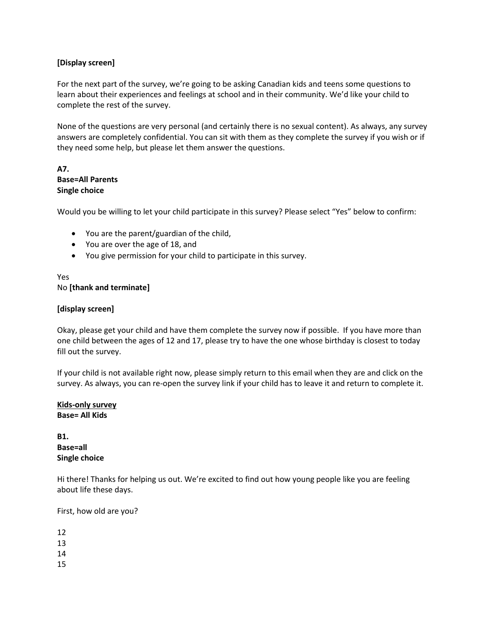## **[Display screen]**

For the next part of the survey, we're going to be asking Canadian kids and teens some questions to learn about their experiences and feelings at school and in their community. We'd like your child to complete the rest of the survey.

None of the questions are very personal (and certainly there is no sexual content). As always, any survey answers are completely confidential. You can sit with them as they complete the survey if you wish or if they need some help, but please let them answer the questions.

## **A7. Base=All Parents Single choice**

Would you be willing to let your child participate in this survey? Please select "Yes" below to confirm:

- You are the parent/guardian of the child,
- You are over the age of 18, and
- You give permission for your child to participate in this survey.

## Yes No **[thank and terminate]**

### **[display screen]**

Okay, please get your child and have them complete the survey now if possible. If you have more than one child between the ages of 12 and 17, please try to have the one whose birthday is closest to today fill out the survey.

If your child is not available right now, please simply return to this email when they are and click on the survey. As always, you can re-open the survey link if your child has to leave it and return to complete it.

### **Kids-only survey Base= All Kids**

## **B1. Base=all Single choice**

Hi there! Thanks for helping us out. We're excited to find out how young people like you are feeling about life these days.

First, how old are you?

- 12
- 13
- 14
- 15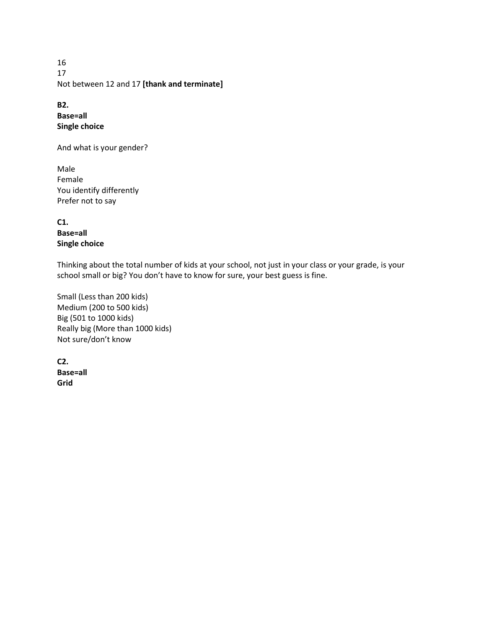16 17 Not between 12 and 17 **[thank and terminate]**

**B2. Base=all Single choice**

And what is your gender?

Male Female You identify differently Prefer not to say

**C1. Base=all Single choice**

Thinking about the total number of kids at your school, not just in your class or your grade, is your school small or big? You don't have to know for sure, your best guess is fine.

Small (Less than 200 kids) Medium (200 to 500 kids) Big (501 to 1000 kids) Really big (More than 1000 kids) Not sure/don't know

**C2. Base=all Grid**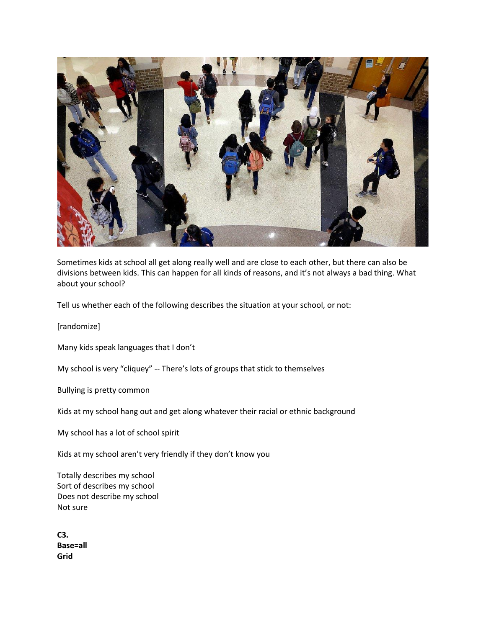

Sometimes kids at school all get along really well and are close to each other, but there can also be divisions between kids. This can happen for all kinds of reasons, and it's not always a bad thing. What about your school?

Tell us whether each of the following describes the situation at your school, or not:

[randomize]

Many kids speak languages that I don't

My school is very "cliquey" -- There's lots of groups that stick to themselves

Bullying is pretty common

Kids at my school hang out and get along whatever their racial or ethnic background

My school has a lot of school spirit

Kids at my school aren't very friendly if they don't know you

Totally describes my school Sort of describes my school Does not describe my school Not sure

**C3. Base=all Grid**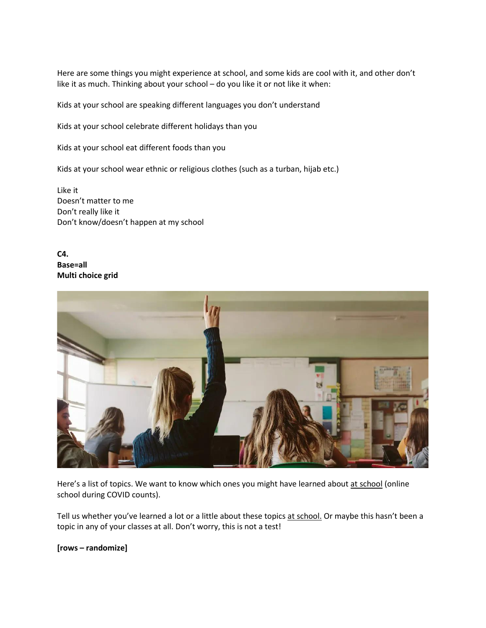Here are some things you might experience at school, and some kids are cool with it, and other don't like it as much. Thinking about your school – do you like it or not like it when:

Kids at your school are speaking different languages you don't understand

Kids at your school celebrate different holidays than you

Kids at your school eat different foods than you

Kids at your school wear ethnic or religious clothes (such as a turban, hijab etc.)

Like it Doesn't matter to me Don't really like it Don't know/doesn't happen at my school

**C4. Base=all Multi choice grid**



Here's a list of topics. We want to know which ones you might have learned about at school (online school during COVID counts).

Tell us whether you've learned a lot or a little about these topics at school. Or maybe this hasn't been a topic in any of your classes at all. Don't worry, this is not a test!

**[rows – randomize]**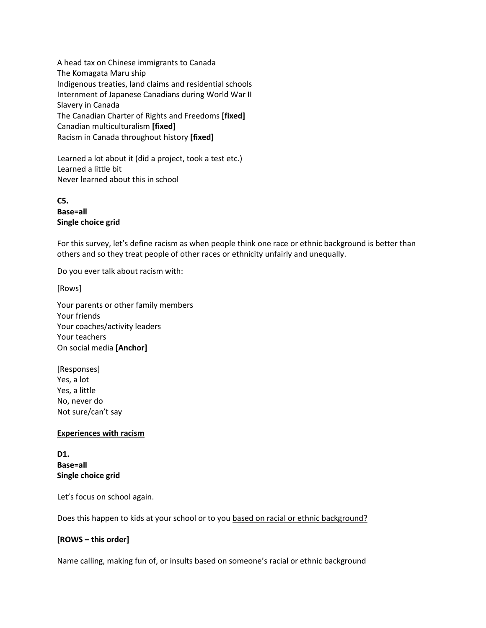A head tax on Chinese immigrants to Canada The Komagata Maru ship Indigenous treaties, land claims and residential schools Internment of Japanese Canadians during World War II Slavery in Canada The Canadian Charter of Rights and Freedoms **[fixed]** Canadian multiculturalism **[fixed]** Racism in Canada throughout history **[fixed]** 

Learned a lot about it (did a project, took a test etc.) Learned a little bit Never learned about this in school

**C5. Base=all Single choice grid**

For this survey, let's define racism as when people think one race or ethnic background is better than others and so they treat people of other races or ethnicity unfairly and unequally.

Do you ever talk about racism with:

[Rows]

Your parents or other family members Your friends Your coaches/activity leaders Your teachers On social media **[Anchor]**

[Responses] Yes, a lot Yes, a little No, never do Not sure/can't say

### **Experiences with racism**

**D1. Base=all Single choice grid**

Let's focus on school again.

Does this happen to kids at your school or to you based on racial or ethnic background?

### **[ROWS – this order]**

Name calling, making fun of, or insults based on someone's racial or ethnic background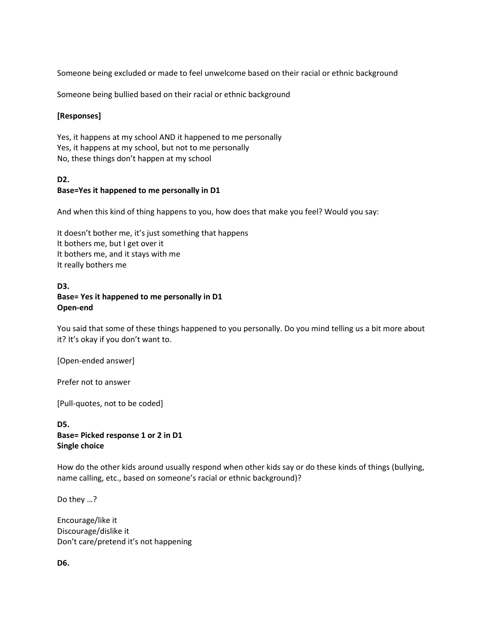Someone being excluded or made to feel unwelcome based on their racial or ethnic background

Someone being bullied based on their racial or ethnic background

### **[Responses]**

Yes, it happens at my school AND it happened to me personally Yes, it happens at my school, but not to me personally No, these things don't happen at my school

# **D2. Base=Yes it happened to me personally in D1**

And when this kind of thing happens to you, how does that make you feel? Would you say:

It doesn't bother me, it's just something that happens It bothers me, but I get over it It bothers me, and it stays with me It really bothers me

### **D3. Base= Yes it happened to me personally in D1 Open-end**

You said that some of these things happened to you personally. Do you mind telling us a bit more about it? It's okay if you don't want to.

[Open-ended answer]

Prefer not to answer

[Pull-quotes, not to be coded]

### **D5. Base= Picked response 1 or 2 in D1 Single choice**

How do the other kids around usually respond when other kids say or do these kinds of things (bullying, name calling, etc., based on someone's racial or ethnic background)?

Do they …?

Encourage/like it Discourage/dislike it Don't care/pretend it's not happening

**D6.**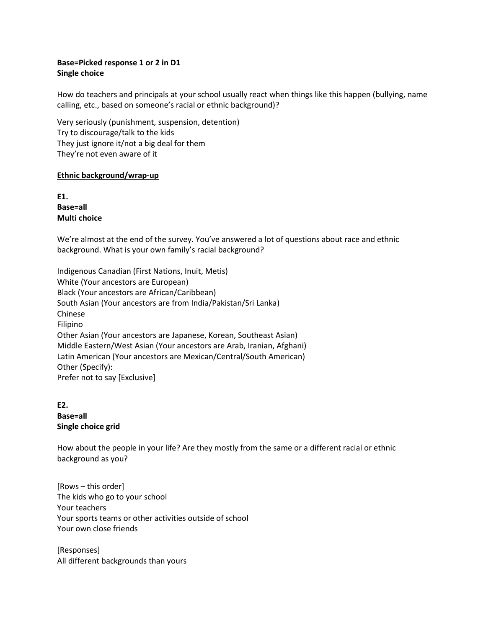## **Base=Picked response 1 or 2 in D1 Single choice**

How do teachers and principals at your school usually react when things like this happen (bullying, name calling, etc., based on someone's racial or ethnic background)?

Very seriously (punishment, suspension, detention) Try to discourage/talk to the kids They just ignore it/not a big deal for them They're not even aware of it

#### **Ethnic background/wrap-up**

**E1. Base=all Multi choice**

We're almost at the end of the survey. You've answered a lot of questions about race and ethnic background. What is your own family's racial background?

Indigenous Canadian (First Nations, Inuit, Metis) White (Your ancestors are European) Black (Your ancestors are African/Caribbean) South Asian (Your ancestors are from India/Pakistan/Sri Lanka) Chinese Filipino Other Asian (Your ancestors are Japanese, Korean, Southeast Asian) Middle Eastern/West Asian (Your ancestors are Arab, Iranian, Afghani) Latin American (Your ancestors are Mexican/Central/South American) Other (Specify): Prefer not to say [Exclusive]

## **E2. Base=all Single choice grid**

How about the people in your life? Are they mostly from the same or a different racial or ethnic background as you?

[Rows – this order] The kids who go to your school Your teachers Your sports teams or other activities outside of school Your own close friends

[Responses] All different backgrounds than yours